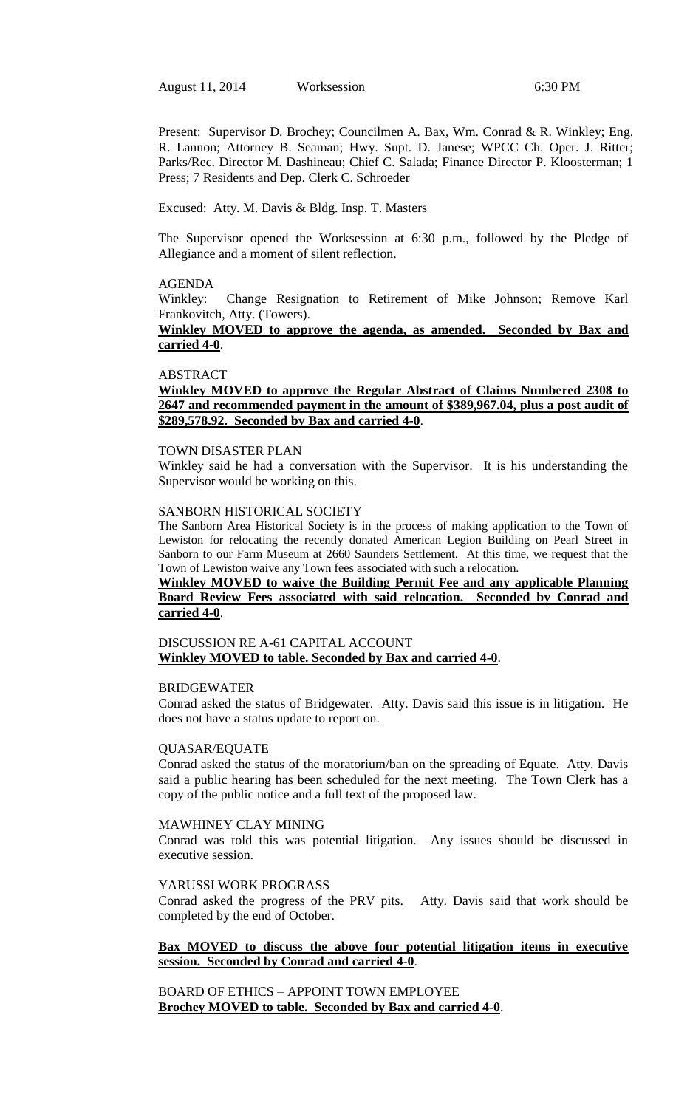Present: Supervisor D. Brochey; Councilmen A. Bax, Wm. Conrad & R. Winkley; Eng. R. Lannon; Attorney B. Seaman; Hwy. Supt. D. Janese; WPCC Ch. Oper. J. Ritter; Parks/Rec. Director M. Dashineau; Chief C. Salada; Finance Director P. Kloosterman; 1 Press; 7 Residents and Dep. Clerk C. Schroeder

Excused: Atty. M. Davis & Bldg. Insp. T. Masters

The Supervisor opened the Worksession at 6:30 p.m., followed by the Pledge of Allegiance and a moment of silent reflection.

#### AGENDA

Winkley: Change Resignation to Retirement of Mike Johnson; Remove Karl Frankovitch, Atty. (Towers).

## **Winkley MOVED to approve the agenda, as amended. Seconded by Bax and carried 4-0**.

#### ABSTRACT

## **Winkley MOVED to approve the Regular Abstract of Claims Numbered 2308 to 2647 and recommended payment in the amount of \$389,967.04, plus a post audit of \$289,578.92. Seconded by Bax and carried 4-0**.

#### TOWN DISASTER PLAN

Winkley said he had a conversation with the Supervisor. It is his understanding the Supervisor would be working on this.

## SANBORN HISTORICAL SOCIETY

The Sanborn Area Historical Society is in the process of making application to the Town of Lewiston for relocating the recently donated American Legion Building on Pearl Street in Sanborn to our Farm Museum at 2660 Saunders Settlement. At this time, we request that the Town of Lewiston waive any Town fees associated with such a relocation.

### **Winkley MOVED to waive the Building Permit Fee and any applicable Planning Board Review Fees associated with said relocation. Seconded by Conrad and carried 4-0**.

## DISCUSSION RE A-61 CAPITAL ACCOUNT **Winkley MOVED to table. Seconded by Bax and carried 4-0**.

#### BRIDGEWATER

Conrad asked the status of Bridgewater. Atty. Davis said this issue is in litigation. He does not have a status update to report on.

#### QUASAR/EQUATE

Conrad asked the status of the moratorium/ban on the spreading of Equate. Atty. Davis said a public hearing has been scheduled for the next meeting. The Town Clerk has a copy of the public notice and a full text of the proposed law.

## MAWHINEY CLAY MINING

Conrad was told this was potential litigation. Any issues should be discussed in executive session.

#### YARUSSI WORK PROGRASS

Conrad asked the progress of the PRV pits. Atty. Davis said that work should be completed by the end of October.

## **Bax MOVED to discuss the above four potential litigation items in executive session. Seconded by Conrad and carried 4-0**.

BOARD OF ETHICS – APPOINT TOWN EMPLOYEE **Brochey MOVED to table. Seconded by Bax and carried 4-0**.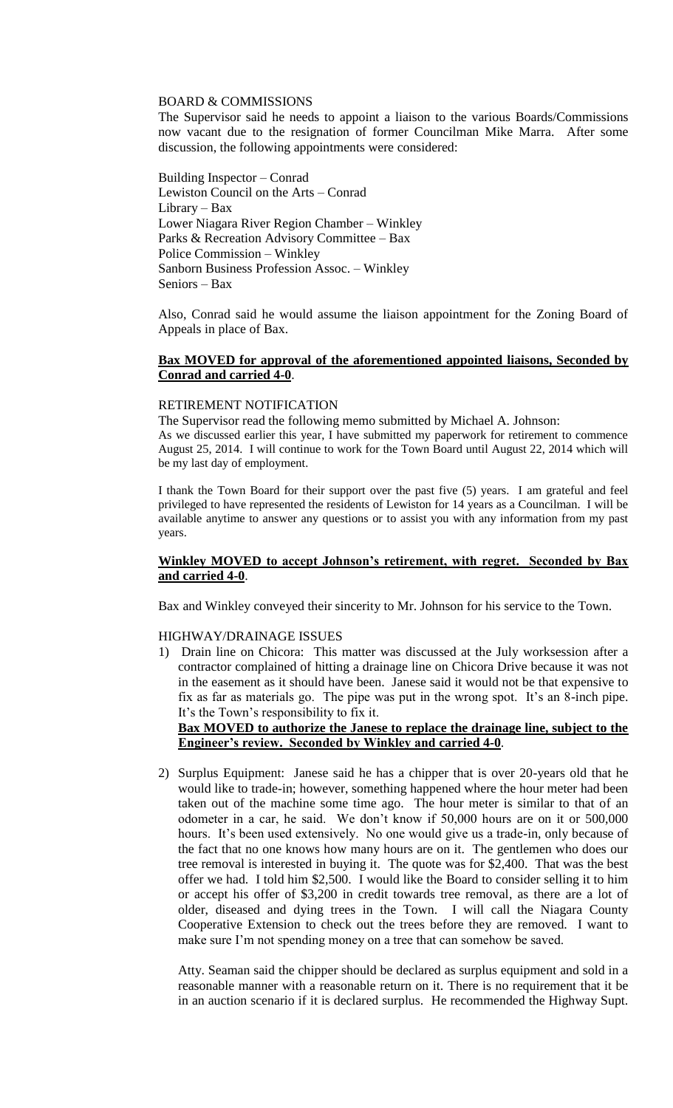## BOARD & COMMISSIONS

The Supervisor said he needs to appoint a liaison to the various Boards/Commissions now vacant due to the resignation of former Councilman Mike Marra. After some discussion, the following appointments were considered:

Building Inspector – Conrad Lewiston Council on the Arts – Conrad Library – Bax Lower Niagara River Region Chamber – Winkley Parks & Recreation Advisory Committee – Bax Police Commission – Winkley Sanborn Business Profession Assoc. – Winkley Seniors – Bax

Also, Conrad said he would assume the liaison appointment for the Zoning Board of Appeals in place of Bax.

## **Bax MOVED for approval of the aforementioned appointed liaisons, Seconded by Conrad and carried 4-0**.

## RETIREMENT NOTIFICATION

The Supervisor read the following memo submitted by Michael A. Johnson:

As we discussed earlier this year, I have submitted my paperwork for retirement to commence August 25, 2014. I will continue to work for the Town Board until August 22, 2014 which will be my last day of employment.

I thank the Town Board for their support over the past five (5) years. I am grateful and feel privileged to have represented the residents of Lewiston for 14 years as a Councilman. I will be available anytime to answer any questions or to assist you with any information from my past years.

## **Winkley MOVED to accept Johnson's retirement, with regret. Seconded by Bax and carried 4-0**.

Bax and Winkley conveyed their sincerity to Mr. Johnson for his service to the Town.

## HIGHWAY/DRAINAGE ISSUES

1) Drain line on Chicora: This matter was discussed at the July worksession after a contractor complained of hitting a drainage line on Chicora Drive because it was not in the easement as it should have been. Janese said it would not be that expensive to fix as far as materials go. The pipe was put in the wrong spot. It's an 8-inch pipe. It's the Town's responsibility to fix it.

## **Bax MOVED to authorize the Janese to replace the drainage line, subject to the Engineer's review. Seconded by Winkley and carried 4-0**.

2) Surplus Equipment: Janese said he has a chipper that is over 20-years old that he would like to trade-in; however, something happened where the hour meter had been taken out of the machine some time ago. The hour meter is similar to that of an odometer in a car, he said. We don't know if 50,000 hours are on it or 500,000 hours. It's been used extensively. No one would give us a trade-in, only because of the fact that no one knows how many hours are on it. The gentlemen who does our tree removal is interested in buying it. The quote was for \$2,400. That was the best offer we had. I told him \$2,500. I would like the Board to consider selling it to him or accept his offer of \$3,200 in credit towards tree removal, as there are a lot of older, diseased and dying trees in the Town. I will call the Niagara County Cooperative Extension to check out the trees before they are removed. I want to make sure I'm not spending money on a tree that can somehow be saved.

Atty. Seaman said the chipper should be declared as surplus equipment and sold in a reasonable manner with a reasonable return on it. There is no requirement that it be in an auction scenario if it is declared surplus. He recommended the Highway Supt.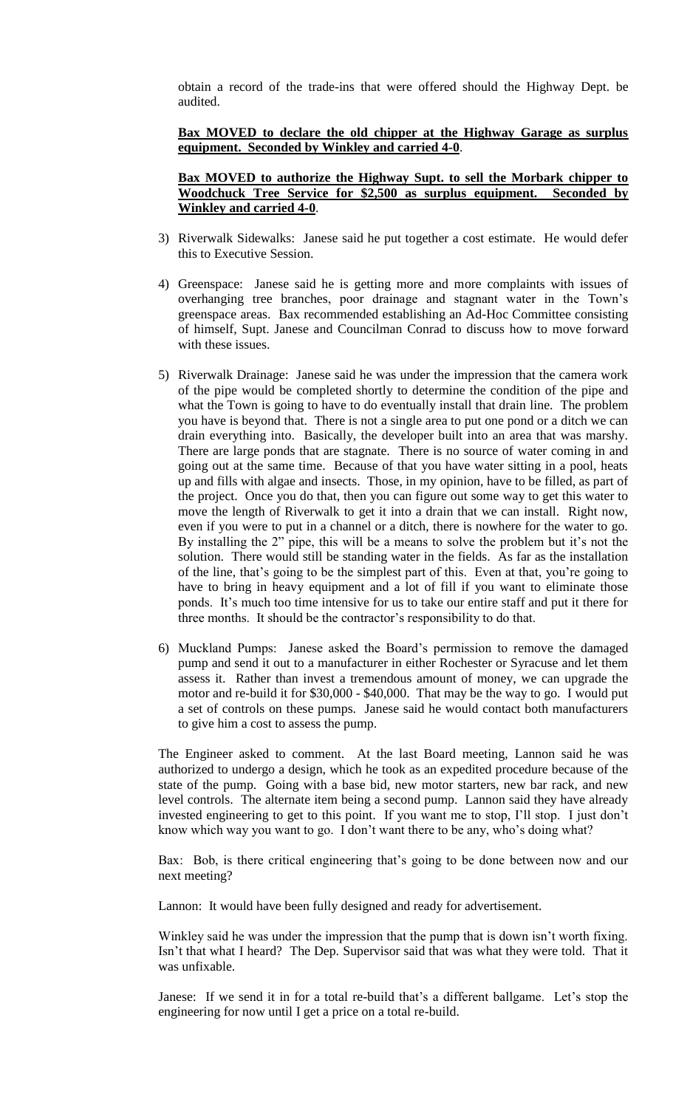obtain a record of the trade-ins that were offered should the Highway Dept. be audited.

## **Bax MOVED to declare the old chipper at the Highway Garage as surplus equipment. Seconded by Winkley and carried 4-0**.

## **Bax MOVED to authorize the Highway Supt. to sell the Morbark chipper to Woodchuck Tree Service for \$2,500 as surplus equipment. Seconded by Winkley and carried 4-0**.

- 3) Riverwalk Sidewalks: Janese said he put together a cost estimate. He would defer this to Executive Session.
- 4) Greenspace: Janese said he is getting more and more complaints with issues of overhanging tree branches, poor drainage and stagnant water in the Town's greenspace areas. Bax recommended establishing an Ad-Hoc Committee consisting of himself, Supt. Janese and Councilman Conrad to discuss how to move forward with these issues.
- 5) Riverwalk Drainage: Janese said he was under the impression that the camera work of the pipe would be completed shortly to determine the condition of the pipe and what the Town is going to have to do eventually install that drain line. The problem you have is beyond that. There is not a single area to put one pond or a ditch we can drain everything into. Basically, the developer built into an area that was marshy. There are large ponds that are stagnate. There is no source of water coming in and going out at the same time. Because of that you have water sitting in a pool, heats up and fills with algae and insects. Those, in my opinion, have to be filled, as part of the project. Once you do that, then you can figure out some way to get this water to move the length of Riverwalk to get it into a drain that we can install. Right now, even if you were to put in a channel or a ditch, there is nowhere for the water to go. By installing the 2" pipe, this will be a means to solve the problem but it's not the solution. There would still be standing water in the fields. As far as the installation of the line, that's going to be the simplest part of this. Even at that, you're going to have to bring in heavy equipment and a lot of fill if you want to eliminate those ponds. It's much too time intensive for us to take our entire staff and put it there for three months. It should be the contractor's responsibility to do that.
- 6) Muckland Pumps: Janese asked the Board's permission to remove the damaged pump and send it out to a manufacturer in either Rochester or Syracuse and let them assess it. Rather than invest a tremendous amount of money, we can upgrade the motor and re-build it for \$30,000 - \$40,000. That may be the way to go. I would put a set of controls on these pumps. Janese said he would contact both manufacturers to give him a cost to assess the pump.

The Engineer asked to comment. At the last Board meeting, Lannon said he was authorized to undergo a design, which he took as an expedited procedure because of the state of the pump. Going with a base bid, new motor starters, new bar rack, and new level controls. The alternate item being a second pump. Lannon said they have already invested engineering to get to this point. If you want me to stop, I'll stop. I just don't know which way you want to go. I don't want there to be any, who's doing what?

Bax: Bob, is there critical engineering that's going to be done between now and our next meeting?

Lannon: It would have been fully designed and ready for advertisement.

Winkley said he was under the impression that the pump that is down isn't worth fixing. Isn't that what I heard? The Dep. Supervisor said that was what they were told. That it was unfixable.

Janese: If we send it in for a total re-build that's a different ballgame. Let's stop the engineering for now until I get a price on a total re-build.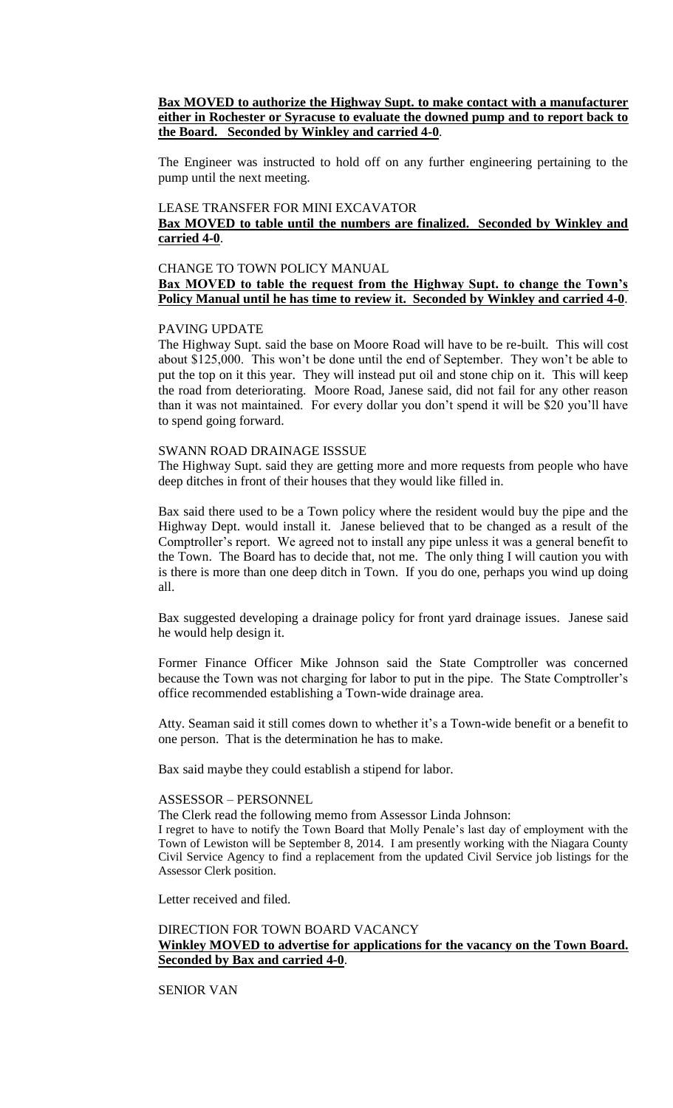**Bax MOVED to authorize the Highway Supt. to make contact with a manufacturer either in Rochester or Syracuse to evaluate the downed pump and to report back to the Board. Seconded by Winkley and carried 4-0**.

The Engineer was instructed to hold off on any further engineering pertaining to the pump until the next meeting.

#### LEASE TRANSFER FOR MINI EXCAVATOR

# **Bax MOVED to table until the numbers are finalized. Seconded by Winkley and carried 4-0**.

## CHANGE TO TOWN POLICY MANUAL **Bax MOVED to table the request from the Highway Supt. to change the Town's Policy Manual until he has time to review it. Seconded by Winkley and carried 4-0**.

## PAVING UPDATE

The Highway Supt. said the base on Moore Road will have to be re-built. This will cost about \$125,000. This won't be done until the end of September. They won't be able to put the top on it this year. They will instead put oil and stone chip on it. This will keep the road from deteriorating. Moore Road, Janese said, did not fail for any other reason than it was not maintained. For every dollar you don't spend it will be \$20 you'll have to spend going forward.

#### SWANN ROAD DRAINAGE ISSSUE

The Highway Supt. said they are getting more and more requests from people who have deep ditches in front of their houses that they would like filled in.

Bax said there used to be a Town policy where the resident would buy the pipe and the Highway Dept. would install it. Janese believed that to be changed as a result of the Comptroller's report. We agreed not to install any pipe unless it was a general benefit to the Town. The Board has to decide that, not me. The only thing I will caution you with is there is more than one deep ditch in Town. If you do one, perhaps you wind up doing all.

Bax suggested developing a drainage policy for front yard drainage issues. Janese said he would help design it.

Former Finance Officer Mike Johnson said the State Comptroller was concerned because the Town was not charging for labor to put in the pipe. The State Comptroller's office recommended establishing a Town-wide drainage area.

Atty. Seaman said it still comes down to whether it's a Town-wide benefit or a benefit to one person. That is the determination he has to make.

Bax said maybe they could establish a stipend for labor.

## ASSESSOR – PERSONNEL

The Clerk read the following memo from Assessor Linda Johnson:

I regret to have to notify the Town Board that Molly Penale's last day of employment with the Town of Lewiston will be September 8, 2014. I am presently working with the Niagara County Civil Service Agency to find a replacement from the updated Civil Service job listings for the Assessor Clerk position.

Letter received and filed.

## DIRECTION FOR TOWN BOARD VACANCY **Winkley MOVED to advertise for applications for the vacancy on the Town Board. Seconded by Bax and carried 4-0**.

# SENIOR VAN